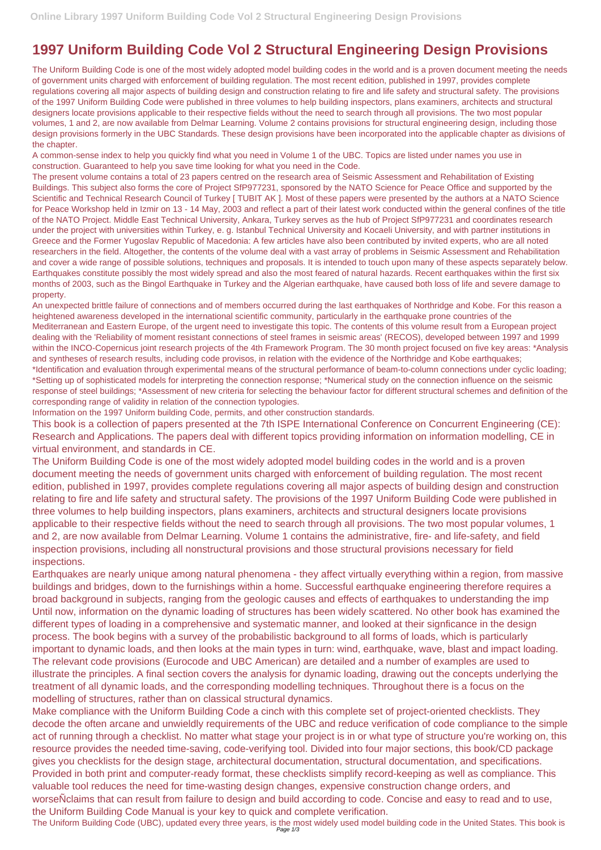## **1997 Uniform Building Code Vol 2 Structural Engineering Design Provisions**

The Uniform Building Code is one of the most widely adopted model building codes in the world and is a proven document meeting the needs of government units charged with enforcement of building regulation. The most recent edition, published in 1997, provides complete regulations covering all major aspects of building design and construction relating to fire and life safety and structural safety. The provisions of the 1997 Uniform Building Code were published in three volumes to help building inspectors, plans examiners, architects and structural designers locate provisions applicable to their respective fields without the need to search through all provisions. The two most popular volumes, 1 and 2, are now available from Delmar Learning. Volume 2 contains provisions for structural engineering design, including those design provisions formerly in the UBC Standards. These design provisions have been incorporated into the applicable chapter as divisions of the chapter.

A common-sense index to help you quickly find what you need in Volume 1 of the UBC. Topics are listed under names you use in construction. Guaranteed to help you save time looking for what you need in the Code.

The present volume contains a total of 23 papers centred on the research area of Seismic Assessment and Rehabilitation of Existing Buildings. This subject also forms the core of Project SfP977231, sponsored by the NATO Science for Peace Office and supported by the Scientific and Technical Research Council of Turkey [ TUBIT AK ]. Most of these papers were presented by the authors at a NATO Science for Peace Workshop held in Izmir on 13 - 14 May, 2003 and reflect a part of their latest work conducted within the general confines of the title of the NATO Project. Middle East Technical University, Ankara, Turkey serves as the hub of Project SfP977231 and coordinates research under the project with universities within Turkey, e. g. Istanbul Technical University and Kocaeli University, and with partner institutions in Greece and the Former Yugoslav Republic of Macedonia: A few articles have also been contributed by invited experts, who are all noted researchers in the field. Altogether, the contents of the volume deal with a vast array of problems in Seismic Assessment and Rehabilitation and cover a wide range of possible solutions, techniques and proposals. It is intended to touch upon many of these aspects separately below. Earthquakes constitute possibly the most widely spread and also the most feared of natural hazards. Recent earthquakes within the first six months of 2003, such as the Bingol Earthquake in Turkey and the Algerian earthquake, have caused both loss of life and severe damage to property.

An unexpected brittle failure of connections and of members occurred during the last earthquakes of Northridge and Kobe. For this reason a heightened awareness developed in the international scientific community, particularly in the earthquake prone countries of the Mediterranean and Eastern Europe, of the urgent need to investigate this topic. The contents of this volume result from a European project dealing with the 'Reliability of moment resistant connections of steel frames in seismic areas' (RECOS), developed between 1997 and 1999 within the INCO-Copernicus joint research projects of the 4th Framework Program. The 30 month project focused on five key areas: \*Analysis and syntheses of research results, including code provisos, in relation with the evidence of the Northridge and Kobe earthquakes; \*Identification and evaluation through experimental means of the structural performance of beam-to-column connections under cyclic loading; \*Setting up of sophisticated models for interpreting the connection response; \*Numerical study on the connection influence on the seismic response of steel buildings; \*Assessment of new criteria for selecting the behaviour factor for different structural schemes and definition of the corresponding range of validity in relation of the connection typologies.

Information on the 1997 Uniform building Code, permits, and other construction standards.

This book is a collection of papers presented at the 7th ISPE International Conference on Concurrent Engineering (CE): Research and Applications. The papers deal with different topics providing information on information modelling, CE in virtual environment, and standards in CE.

The Uniform Building Code is one of the most widely adopted model building codes in the world and is a proven document meeting the needs of government units charged with enforcement of building regulation. The most recent edition, published in 1997, provides complete regulations covering all major aspects of building design and construction relating to fire and life safety and structural safety. The provisions of the 1997 Uniform Building Code were published in three volumes to help building inspectors, plans examiners, architects and structural designers locate provisions applicable to their respective fields without the need to search through all provisions. The two most popular volumes, 1 and 2, are now available from Delmar Learning. Volume 1 contains the administrative, fire- and life-safety, and field inspection provisions, including all nonstructural provisions and those structural provisions necessary for field inspections.

Earthquakes are nearly unique among natural phenomena - they affect virtually everything within a region, from massive buildings and bridges, down to the furnishings within a home. Successful earthquake engineering therefore requires a broad background in subjects, ranging from the geologic causes and effects of earthquakes to understanding the imp Until now, information on the dynamic loading of structures has been widely scattered. No other book has examined the different types of loading in a comprehensive and systematic manner, and looked at their signficance in the design process. The book begins with a survey of the probabilistic background to all forms of loads, which is particularly

important to dynamic loads, and then looks at the main types in turn: wind, earthquake, wave, blast and impact loading. The relevant code provisions (Eurocode and UBC American) are detailed and a number of examples are used to illustrate the principles. A final section covers the analysis for dynamic loading, drawing out the concepts underlying the treatment of all dynamic loads, and the corresponding modelling techniques. Throughout there is a focus on the modelling of structures, rather than on classical structural dynamics.

Make compliance with the Uniform Building Code a cinch with this complete set of project-oriented checklists. They decode the often arcane and unwieldly requirements of the UBC and reduce verification of code compliance to the simple act of running through a checklist. No matter what stage your project is in or what type of structure you're working on, this resource provides the needed time-saving, code-verifying tool. Divided into four major sections, this book/CD package gives you checklists for the design stage, architectural documentation, structural documentation, and specifications. Provided in both print and computer-ready format, these checklists simplify record-keeping as well as compliance. This valuable tool reduces the need for time-wasting design changes, expensive construction change orders, and worseNclaims that can result from failure to design and build according to code. Concise and easy to read and to use, the Uniform Building Code Manual is your key to quick and complete verification.

The Uniform Building Code (UBC), updated every three years, is the most widely used model building code in the United States. This book is<br>Page 1/3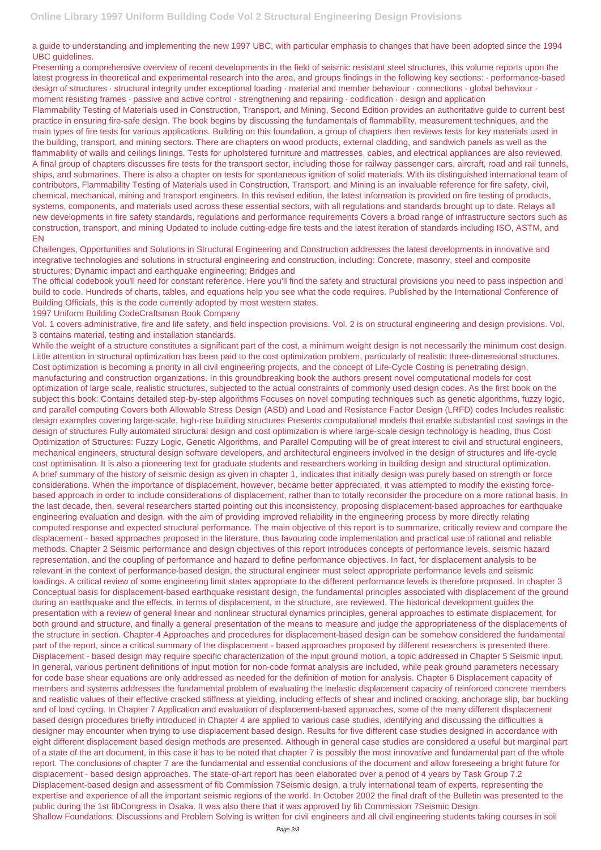a guide to understanding and implementing the new 1997 UBC, with particular emphasis to changes that have been adopted since the 1994 UBC guidelines.

Presenting a comprehensive overview of recent developments in the field of seismic resistant steel structures, this volume reports upon the latest progress in theoretical and experimental research into the area, and groups findings in the following key sections: · performance-based design of structures · structural integrity under exceptional loading · material and member behaviour · connections · global behaviour · moment resisting frames · passive and active control · strengthening and repairing · codification · design and application

Flammability Testing of Materials used in Construction, Transport, and Mining, Second Edition provides an authoritative guide to current best practice in ensuring fire-safe design. The book begins by discussing the fundamentals of flammability, measurement techniques, and the main types of fire tests for various applications. Building on this foundation, a group of chapters then reviews tests for key materials used in the building, transport, and mining sectors. There are chapters on wood products, external cladding, and sandwich panels as well as the flammability of walls and ceilings linings. Tests for upholstered furniture and mattresses, cables, and electrical appliances are also reviewed. A final group of chapters discusses fire tests for the transport sector, including those for railway passenger cars, aircraft, road and rail tunnels, ships, and submarines. There is also a chapter on tests for spontaneous ignition of solid materials. With its distinguished international team of contributors, Flammability Testing of Materials used in Construction, Transport, and Mining is an invaluable reference for fire safety, civil, chemical, mechanical, mining and transport engineers. In this revised edition, the latest information is provided on fire testing of products, systems, components, and materials used across these essential sectors, with all regulations and standards brought up to date. Relays all new developments in fire safety standards, regulations and performance requirements Covers a broad range of infrastructure sectors such as construction, transport, and mining Updated to include cutting-edge fire tests and the latest iteration of standards including ISO, ASTM, and EN

Challenges, Opportunities and Solutions in Structural Engineering and Construction addresses the latest developments in innovative and integrative technologies and solutions in structural engineering and construction, including: Concrete, masonry, steel and composite structures; Dynamic impact and earthquake engineering; Bridges and

The official codebook you'll need for constant reference. Here you'll find the safety and structural provisions you need to pass inspection and build to code. Hundreds of charts, tables, and equations help you see what the code requires. Published by the International Conference of Building Officials, this is the code currently adopted by most western states.

1997 Uniform Building CodeCraftsman Book Company

Vol. 1 covers administrative, fire and life safety, and field inspection provisions. Vol. 2 is on structural engineering and design provisions. Vol. 3 contains material, testing and installation standards.

While the weight of a structure constitutes a significant part of the cost, a minimum weight design is not necessarily the minimum cost design. Little attention in structural optimization has been paid to the cost optimization problem, particularly of realistic three-dimensional structures. Cost optimization is becoming a priority in all civil engineering projects, and the concept of Life-Cycle Costing is penetrating design, manufacturing and construction organizations. In this groundbreaking book the authors present novel computational models for cost optimization of large scale, realistic structures, subjected to the actual constraints of commonly used design codes. As the first book on the subject this book: Contains detailed step-by-step algorithms Focuses on novel computing techniques such as genetic algorithms, fuzzy logic, and parallel computing Covers both Allowable Stress Design (ASD) and Load and Resistance Factor Design (LRFD) codes Includes realistic design examples covering large-scale, high-rise building structures Presents computational models that enable substantial cost savings in the design of structures Fully automated structural design and cost optimization is where large-scale design technology is heading, thus Cost Optimization of Structures: Fuzzy Logic, Genetic Algorithms, and Parallel Computing will be of great interest to civil and structural engineers, mechanical engineers, structural design software developers, and architectural engineers involved in the design of structures and life-cycle cost optimisation. It is also a pioneering text for graduate students and researchers working in building design and structural optimization. A brief summary of the history of seismic design as given in chapter 1, indicates that initially design was purely based on strength or force considerations. When the importance of displacement, however, became better appreciated, it was attempted to modify the existing forcebased approach in order to include considerations of displacement, rather than to totally reconsider the procedure on a more rational basis. In the last decade, then, several researchers started pointing out this inconsistency, proposing displacement-based approaches for earthquake engineering evaluation and design, with the aim of providing improved reliability in the engineering process by more directly relating computed response and expected structural performance. The main objective of this report is to summarize, critically review and compare the displacement - based approaches proposed in the literature, thus favouring code implementation and practical use of rational and reliable methods. Chapter 2 Seismic performance and design objectives of this report introduces concepts of performance levels, seismic hazard representation, and the coupling of performance and hazard to define performance objectives. In fact, for displacement analysis to be relevant in the context of performance-based design, the structural engineer must select appropriate performance levels and seismic loadings. A critical review of some engineering limit states appropriate to the different performance levels is therefore proposed. In chapter 3 Conceptual basis for displacement-based earthquake resistant design, the fundamental principles associated with displacement of the ground during an earthquake and the effects, in terms of displacement, in the structure, are reviewed. The historical development guides the presentation with a review of general linear and nonlinear structural dynamics principles, general approaches to estimate displacement, for both ground and structure, and finally a general presentation of the means to measure and judge the appropriateness of the displacements of the structure in section. Chapter 4 Approaches and procedures for displacement-based design can be somehow considered the fundamental part of the report, since a critical summary of the displacement - based approaches proposed by different researchers is presented there. Displacement - based design may require specific characterization of the input ground motion, a topic addressed in Chapter 5 Seismic input. In general, various pertinent definitions of input motion for non-code format analysis are included, while peak ground parameters necessary for code base shear equations are only addressed as needed for the definition of motion for analysis. Chapter 6 Displacement capacity of members and systems addresses the fundamental problem of evaluating the inelastic displacement capacity of reinforced concrete members and realistic values of their effective cracked stiffness at yielding, including effects of shear and inclined cracking, anchorage slip, bar buckling and of load cycling. In Chapter 7 Application and evaluation of displacement-based approaches, some of the many different displacement based design procedures briefly introduced in Chapter 4 are applied to various case studies, identifying and discussing the difficulties a designer may encounter when trying to use displacement based design. Results for five different case studies designed in accordance with eight different displacement based design methods are presented. Although in general case studies are considered a useful but marginal part of a state of the art document, in this case it has to be noted that chapter 7 is possibly the most innovative and fundamental part of the whole report. The conclusions of chapter 7 are the fundamental and essential conclusions of the document and allow foreseeing a bright future for displacement - based design approaches. The state-of-art report has been elaborated over a period of 4 years by Task Group 7.2 Displacement-based design and assessment of fib Commission 7Seismic design, a truly international team of experts, representing the expertise and experience of all the important seismic regions of the world. In October 2002 the final draft of the Bulletin was presented to the public during the 1st fibCongress in Osaka. It was also there that it was approved by fib Commission 7Seismic Design. Shallow Foundations: Discussions and Problem Solving is written for civil engineers and all civil engineering students taking courses in soil